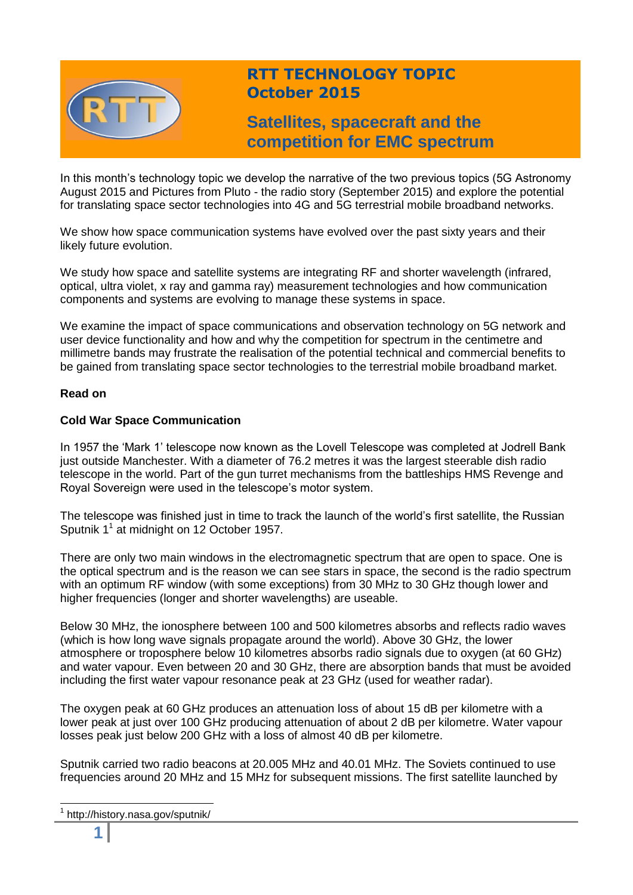

# **RTT TECHNOLOGY TOPIC October 2015**

# **Satellites, spacecraft and the competition for EMC spectrum**

In this month's technology topic we develop the narrative of the two previous topics (5G Astronomy August 2015 and Pictures from Pluto - the radio story (September 2015) and explore the potential for translating space sector technologies into 4G and 5G terrestrial mobile broadband networks.

We show how space communication systems have evolved over the past sixty years and their likely future evolution.

We study how space and satellite systems are integrating RF and shorter wavelength (infrared, optical, ultra violet, x ray and gamma ray) measurement technologies and how communication components and systems are evolving to manage these systems in space.

We examine the impact of space communications and observation technology on 5G network and user device functionality and how and why the competition for spectrum in the centimetre and millimetre bands may frustrate the realisation of the potential technical and commercial benefits to be gained from translating space sector technologies to the terrestrial mobile broadband market.

## **Read on**

## **Cold War Space Communication**

In 1957 the 'Mark 1' telescope now known as the Lovell Telescope was completed at Jodrell Bank just outside Manchester. With a diameter of 76.2 metres it was the largest steerable dish radio telescope in the world. Part of the gun turret mechanisms from the battleships HMS Revenge and Royal Sovereign were used in the telescope's motor system.

The telescope was finished just in time to track the launch of the world's first satellite, the Russian Sputnik  $1^1$  at midnight on 12 October 1957.

There are only two main windows in the electromagnetic spectrum that are open to space. One is the optical spectrum and is the reason we can see stars in space, the second is the radio spectrum with an optimum RF window (with some exceptions) from 30 MHz to 30 GHz though lower and higher frequencies (longer and shorter wavelengths) are useable.

Below 30 MHz, the ionosphere between 100 and 500 kilometres absorbs and reflects radio waves (which is how long wave signals propagate around the world). Above 30 GHz, the lower atmosphere or troposphere below 10 kilometres absorbs radio signals due to oxygen (at 60 GHz) and water vapour. Even between 20 and 30 GHz, there are absorption bands that must be avoided including the first water vapour resonance peak at 23 GHz (used for weather radar).

The oxygen peak at 60 GHz produces an attenuation loss of about 15 dB per kilometre with a lower peak at just over 100 GHz producing attenuation of about 2 dB per kilometre. Water vapour losses peak just below 200 GHz with a loss of almost 40 dB per kilometre.

Sputnik carried two radio beacons at 20.005 MHz and 40.01 MHz. The Soviets continued to use frequencies around 20 MHz and 15 MHz for subsequent missions. The first satellite launched by

 $\overline{\phantom{a}}$ 

<sup>1</sup> http://history.nasa.gov/sputnik/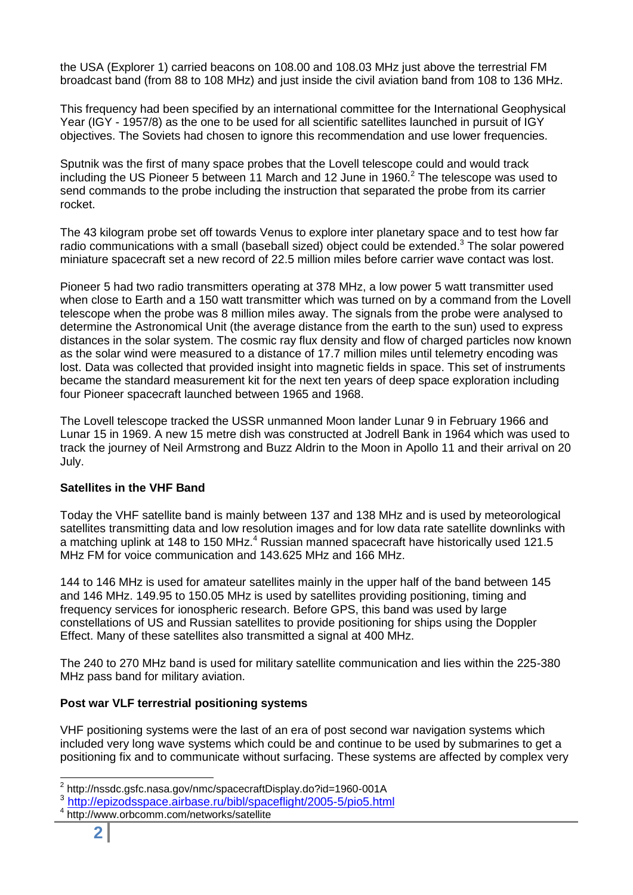the USA (Explorer 1) carried beacons on 108.00 and 108.03 MHz just above the terrestrial FM broadcast band (from 88 to 108 MHz) and just inside the civil aviation band from 108 to 136 MHz.

This frequency had been specified by an international committee for the International Geophysical Year (IGY - 1957/8) as the one to be used for all scientific satellites launched in pursuit of IGY objectives. The Soviets had chosen to ignore this recommendation and use lower frequencies.

Sputnik was the first of many space probes that the Lovell telescope could and would track including the US Pioneer 5 between 11 March and 12 June in 1960. $^2$  The telescope was used to send commands to the probe including the instruction that separated the probe from its carrier rocket.

The 43 kilogram probe set off towards Venus to explore inter planetary space and to test how far radio communications with a small (baseball sized) object could be extended.<sup>3</sup> The solar powered miniature spacecraft set a new record of 22.5 million miles before carrier wave contact was lost.

Pioneer 5 had two radio transmitters operating at 378 MHz, a low power 5 watt transmitter used when close to Earth and a 150 watt transmitter which was turned on by a command from the Lovell telescope when the probe was 8 million miles away. The signals from the probe were analysed to determine the Astronomical Unit (the average distance from the earth to the sun) used to express distances in the solar system. The cosmic ray flux density and flow of charged particles now known as the solar wind were measured to a distance of 17.7 million miles until telemetry encoding was lost. Data was collected that provided insight into magnetic fields in space. This set of instruments became the standard measurement kit for the next ten years of deep space exploration including four Pioneer spacecraft launched between 1965 and 1968.

The Lovell telescope tracked the USSR unmanned Moon lander Lunar 9 in February 1966 and Lunar 15 in 1969. A new 15 metre dish was constructed at Jodrell Bank in 1964 which was used to track the journey of Neil Armstrong and Buzz Aldrin to the Moon in Apollo 11 and their arrival on 20 July.

## **Satellites in the VHF Band**

Today the VHF satellite band is mainly between 137 and 138 MHz and is used by meteorological satellites transmitting data and low resolution images and for low data rate satellite downlinks with a matching uplink at 148 to 150 MHz.<sup>4</sup> Russian manned spacecraft have historically used 121.5 MHz FM for voice communication and 143.625 MHz and 166 MHz.

144 to 146 MHz is used for amateur satellites mainly in the upper half of the band between 145 and 146 MHz. 149.95 to 150.05 MHz is used by satellites providing positioning, timing and frequency services for ionospheric research. Before GPS, this band was used by large constellations of US and Russian satellites to provide positioning for ships using the Doppler Effect. Many of these satellites also transmitted a signal at 400 MHz.

The 240 to 270 MHz band is used for military satellite communication and lies within the 225-380 MHz pass band for military aviation.

#### **Post war VLF terrestrial positioning systems**

VHF positioning systems were the last of an era of post second war navigation systems which included very long wave systems which could be and continue to be used by submarines to get a positioning fix and to communicate without surfacing. These systems are affected by complex very

<sup>2</sup> http://nssdc.gsfc.nasa.gov/nmc/spacecraftDisplay.do?id=1960-001A

<sup>3</sup> <http://epizodsspace.airbase.ru/bibl/spaceflight/2005-5/pio5.html>

<sup>4</sup> http://www.orbcomm.com/networks/satellite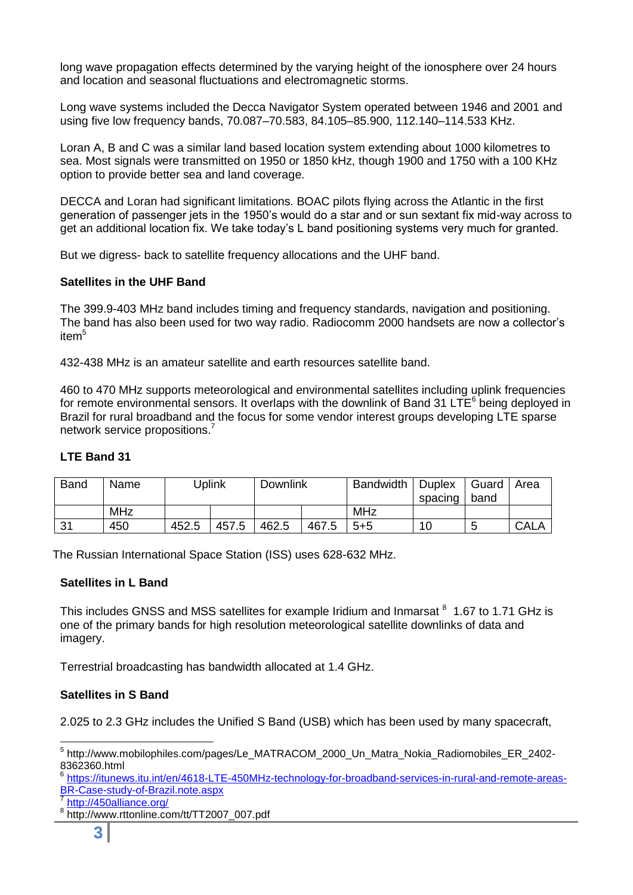long wave propagation effects determined by the varying height of the ionosphere over 24 hours and location and seasonal fluctuations and electromagnetic storms.

Long wave systems included the Decca Navigator System operated between 1946 and 2001 and using five low frequency bands, 70.087–70.583, 84.105–85.900, 112.140–114.533 KHz.

Loran A, B and C was a similar land based location system extending about 1000 kilometres to sea. Most signals were transmitted on 1950 or 1850 kHz, though 1900 and 1750 with a 100 KHz option to provide better sea and land coverage.

DECCA and Loran had significant limitations. BOAC pilots flying across the Atlantic in the first generation of passenger jets in the 1950's would do a star and or sun sextant fix mid-way across to get an additional location fix. We take today's L band positioning systems very much for granted.

But we digress- back to satellite frequency allocations and the UHF band.

#### **Satellites in the UHF Band**

The 399.9-403 MHz band includes timing and frequency standards, navigation and positioning. The band has also been used for two way radio. Radiocomm 2000 handsets are now a collector's item<sup>5</sup>

432-438 MHz is an amateur satellite and earth resources satellite band.

460 to 470 MHz supports meteorological and environmental satellites including uplink frequencies for remote environmental sensors. It overlaps with the downlink of Band 31 LTE<sup>6</sup> being deployed in Brazil for rural broadband and the focus for some vendor interest groups developing LTE sparse network service propositions.<sup>7</sup>

#### **LTE Band 31**

| <b>Band</b> | Name | Uplink |       | <b>Downlink</b> |       | <b>Bandwidth</b> | <b>Duplex</b><br>spacing | Guard<br>band | Area        |
|-------------|------|--------|-------|-----------------|-------|------------------|--------------------------|---------------|-------------|
|             | MHz  |        |       |                 |       | <b>MHz</b>       |                          |               |             |
| 31          | 450  | 452.5  | 457.5 | 462.5           | 467.5 | $5 + 5$          | 10                       |               | <b>CALA</b> |

The Russian International Space Station (ISS) uses 628-632 MHz.

#### **Satellites in L Band**

This includes GNSS and MSS satellites for example Iridium and Inmarsat <sup>8</sup> 1.67 to 1.71 GHz is one of the primary bands for high resolution meteorological satellite downlinks of data and imagery.

Terrestrial broadcasting has bandwidth allocated at 1.4 GHz.

#### **Satellites in S Band**

2.025 to 2.3 GHz includes the Unified S Band (USB) which has been used by many spacecraft,

 5 http://www.mobilophiles.com/pages/Le\_MATRACOM\_2000\_Un\_Matra\_Nokia\_Radiomobiles\_ER\_2402- 8362360.html

<sup>6</sup> [https://itunews.itu.int/en/4618-LTE-450MHz-technology-for-broadband-services-in-rural-and-remote-areas-](https://itunews.itu.int/en/4618-LTE-450MHz-technology-for-broadband-services-in-rural-and-remote-areas-BR-Case-study-of-Brazil.note.aspx)[BR-Case-study-of-Brazil.note.aspx](https://itunews.itu.int/en/4618-LTE-450MHz-technology-for-broadband-services-in-rural-and-remote-areas-BR-Case-study-of-Brazil.note.aspx)

<sup>7</sup> <http://450alliance.org/> 8

http://www.rttonline.com/tt/TT2007\_007.pdf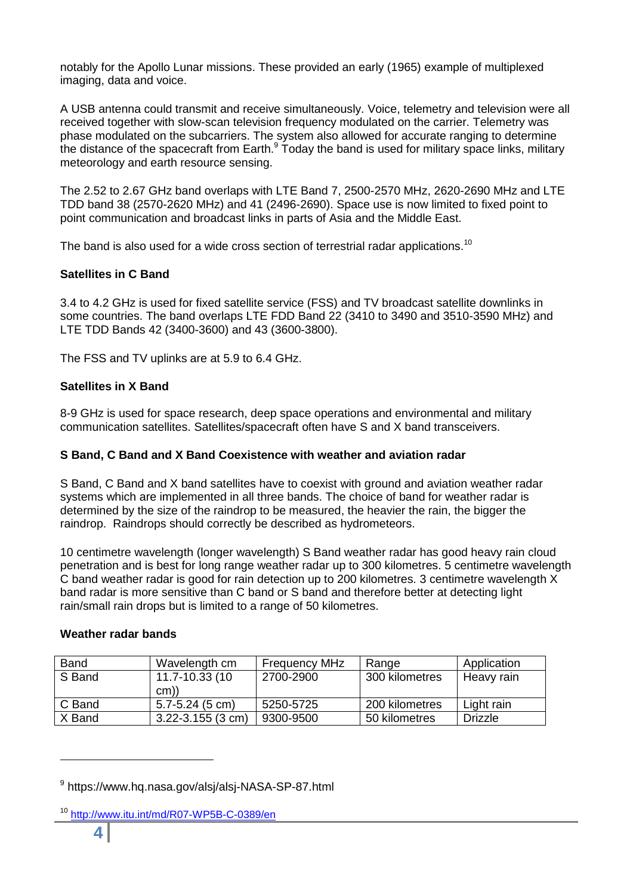notably for the Apollo Lunar missions. These provided an early (1965) example of multiplexed imaging, data and voice.

A USB antenna could transmit and receive simultaneously. Voice, telemetry and television were all received together with slow-scan television frequency modulated on the carrier. Telemetry was phase modulated on the subcarriers. The system also allowed for accurate ranging to determine the distance of the spacecraft from Earth.<sup>9</sup> Today the band is used for military space links, military the distance of the spacecraft from Earth.<sup>9</sup> Today the band is used for military space links, military meteorology and earth resource sensing.

The 2.52 to 2.67 GHz band overlaps with LTE Band 7, 2500-2570 MHz, 2620-2690 MHz and LTE TDD band 38 (2570-2620 MHz) and 41 (2496-2690). Space use is now limited to fixed point to point communication and broadcast links in parts of Asia and the Middle East.

The band is also used for a wide cross section of terrestrial radar applications.<sup>10</sup>

## **Satellites in C Band**

3.4 to 4.2 GHz is used for fixed satellite service (FSS) and TV broadcast satellite downlinks in some countries. The band overlaps LTE FDD Band 22 (3410 to 3490 and 3510-3590 MHz) and LTE TDD Bands 42 (3400-3600) and 43 (3600-3800).

The FSS and TV uplinks are at 5.9 to 6.4 GHz.

## **Satellites in X Band**

8-9 GHz is used for space research, deep space operations and environmental and military communication satellites. Satellites/spacecraft often have S and X band transceivers.

#### **S Band, C Band and X Band Coexistence with weather and aviation radar**

S Band, C Band and X band satellites have to coexist with ground and aviation weather radar systems which are implemented in all three bands. The choice of band for weather radar is determined by the size of the raindrop to be measured, the heavier the rain, the bigger the raindrop. Raindrops should correctly be described as hydrometeors.

10 centimetre wavelength (longer wavelength) S Band weather radar has good heavy rain cloud penetration and is best for long range weather radar up to 300 kilometres. 5 centimetre wavelength C band weather radar is good for rain detection up to 200 kilometres. 3 centimetre wavelength X band radar is more sensitive than C band or S band and therefore better at detecting light rain/small rain drops but is limited to a range of 50 kilometres.

#### **Weather radar bands**

| <b>Band</b> | Wavelength cm         | <b>Frequency MHz</b> | Range          | Application    |  |
|-------------|-----------------------|----------------------|----------------|----------------|--|
| S Band      | 11.7-10.33 (10        | 2700-2900            | 300 kilometres | Heavy rain     |  |
|             | cm)                   |                      |                |                |  |
| C Band      | $5.7 - 5.24$ (5 cm)   | 5250-5725            | 200 kilometres | Light rain     |  |
| X Band      | $3.22 - 3.155$ (3 cm) | 9300-9500            | 50 kilometres  | <b>Drizzle</b> |  |

<sup>&</sup>lt;sup>9</sup> https://www.hq.nasa.gov/alsj/alsj-NASA-SP-87.html

<sup>&</sup>lt;sup>10</sup> <http://www.itu.int/md/R07-WP5B-C-0389/en>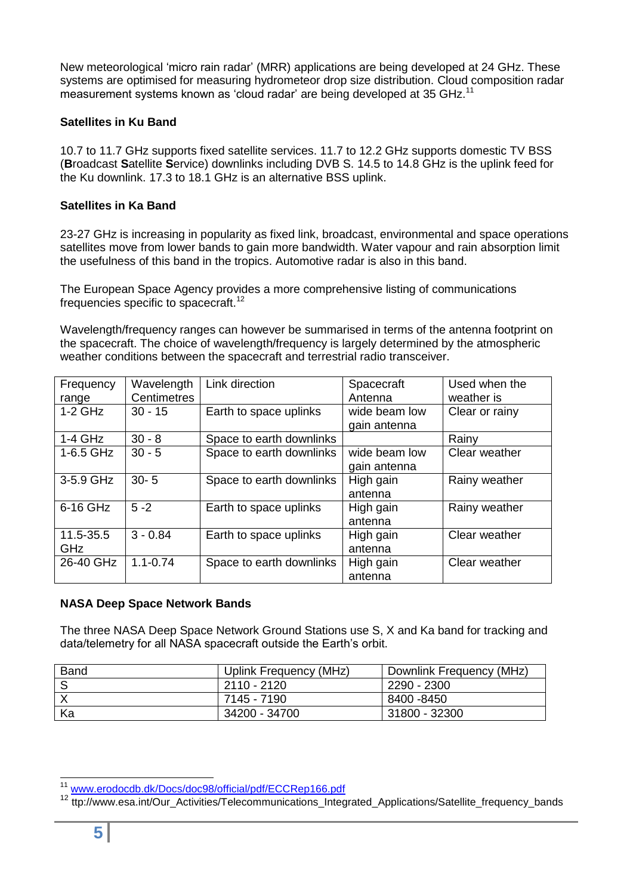New meteorological 'micro rain radar' (MRR) applications are being developed at 24 GHz. These systems are optimised for measuring hydrometeor drop size distribution. Cloud composition radar measurement systems known as 'cloud radar' are being developed at 35 GHz.<sup>11</sup>

#### **Satellites in Ku Band**

10.7 to 11.7 GHz supports fixed satellite services. 11.7 to 12.2 GHz supports domestic TV BSS (**B**roadcast **S**atellite **S**ervice) downlinks including DVB S. 14.5 to 14.8 GHz is the uplink feed for the Ku downlink. 17.3 to 18.1 GHz is an alternative BSS uplink.

## **Satellites in Ka Band**

23-27 GHz is increasing in popularity as fixed link, broadcast, environmental and space operations satellites move from lower bands to gain more bandwidth. Water vapour and rain absorption limit the usefulness of this band in the tropics. Automotive radar is also in this band.

The European Space Agency provides a more comprehensive listing of communications frequencies specific to spacecraft.<sup>12</sup>

Wavelength/frequency ranges can however be summarised in terms of the antenna footprint on the spacecraft. The choice of wavelength/frequency is largely determined by the atmospheric weather conditions between the spacecraft and terrestrial radio transceiver.

| Frequency<br>range      | Wavelength<br><b>Centimetres</b> | Link direction           | Spacecraft<br>Antenna         | Used when the<br>weather is |  |
|-------------------------|----------------------------------|--------------------------|-------------------------------|-----------------------------|--|
| $1-2$ GHz               | $30 - 15$                        | Earth to space uplinks   | wide beam low<br>gain antenna | Clear or rainy              |  |
| $1-4$ GHz               | $30 - 8$                         | Space to earth downlinks |                               | Rainy                       |  |
| 1-6.5 GHz               | $30 - 5$                         | Space to earth downlinks | wide beam low<br>gain antenna | Clear weather               |  |
| 3-5.9 GHz               | $30 - 5$                         | Space to earth downlinks | High gain<br>antenna          | Rainy weather               |  |
| 6-16 GHz                | $5 - 2$                          | Earth to space uplinks   | High gain<br>antenna          | Rainy weather               |  |
| 11.5-35.5<br><b>GHz</b> | $3 - 0.84$                       | Earth to space uplinks   | High gain<br>antenna          | Clear weather               |  |
| 26-40 GHz               | $1.1 - 0.74$                     | Space to earth downlinks | High gain<br>antenna          | Clear weather               |  |

#### **NASA Deep Space Network Bands**

The three NASA Deep Space Network Ground Stations use S, X and Ka band for tracking and data/telemetry for all NASA spacecraft outside the Earth's orbit.

| <b>Band</b> | Uplink Frequency (MHz) | Downlink Frequency (MHz) |
|-------------|------------------------|--------------------------|
|             | 2110 - 2120            | 2290 - 2300              |
|             | 7145 - 7190            | 8400 -8450               |
| Ka          | 34200 - 34700          | 31800 - 32300            |

 <sup>11</sup> [www.erodocdb.dk/Docs/doc98/official/pdf/ECCRep166.pdf](http://www.erodocdb.dk/Docs/doc98/official/pdf/ECCRep166.pdf)

<sup>&</sup>lt;sup>12</sup> ttp://www.esa.int/Our\_Activities/Telecommunications\_Integrated\_Applications/Satellite\_frequency\_bands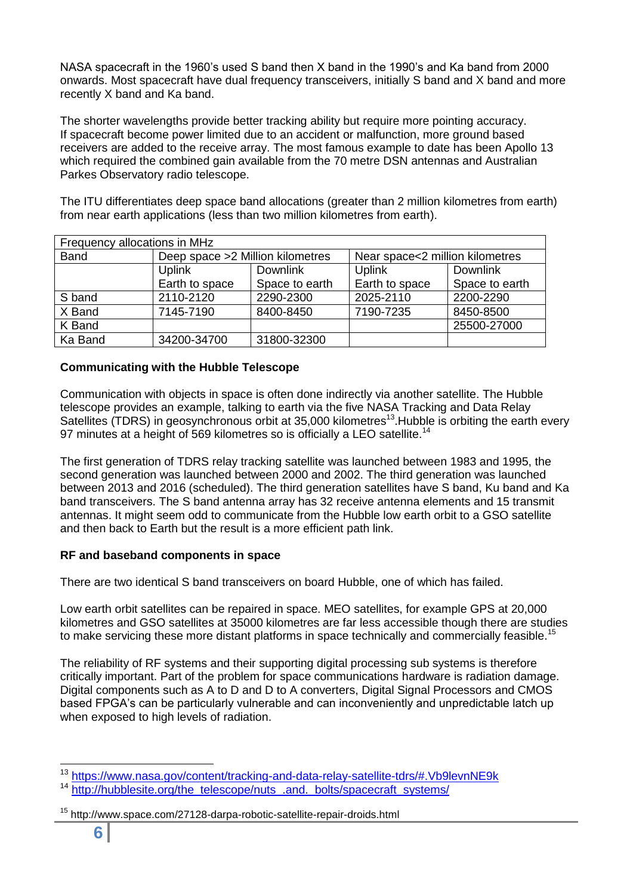NASA spacecraft in the 1960's used S band then X band in the 1990's and Ka band from 2000 onwards. Most spacecraft have dual frequency transceivers, initially S band and X band and more recently X band and Ka band.

The shorter wavelengths provide better tracking ability but require more pointing accuracy. If spacecraft become power limited due to an accident or malfunction, more ground based receivers are added to the receive array. The most famous example to date has been Apollo 13 which required the combined gain available from the 70 metre DSN antennas and Australian Parkes Observatory radio telescope.

The ITU differentiates deep space band allocations (greater than 2 million kilometres from earth) from near earth applications (less than two million kilometres from earth).

| Frequency allocations in MHz |                                   |                |                                 |                |  |  |  |  |  |
|------------------------------|-----------------------------------|----------------|---------------------------------|----------------|--|--|--|--|--|
| <b>Band</b>                  | Deep space > 2 Million kilometres |                | Near space<2 million kilometres |                |  |  |  |  |  |
|                              | <b>Uplink</b>                     | Downlink       | <b>Uplink</b>                   | Downlink       |  |  |  |  |  |
|                              | Earth to space                    | Space to earth | Earth to space                  | Space to earth |  |  |  |  |  |
| S band                       | 2110-2120                         | 2290-2300      | 2025-2110                       | 2200-2290      |  |  |  |  |  |
| X Band                       | 7145-7190                         | 8400-8450      | 7190-7235                       | 8450-8500      |  |  |  |  |  |
| K Band                       |                                   |                |                                 | 25500-27000    |  |  |  |  |  |
| Ka Band                      | 34200-34700                       | 31800-32300    |                                 |                |  |  |  |  |  |

## **Communicating with the Hubble Telescope**

Communication with objects in space is often done indirectly via another satellite. The Hubble telescope provides an example, talking to earth via the five NASA Tracking and Data Relay Satellites (TDRS) in geosynchronous orbit at 35,000 kilometres<sup>13</sup>. Hubble is orbiting the earth every 97 minutes at a height of 569 kilometres so is officially a LEO satellite.<sup>14</sup>

The first generation of TDRS relay tracking satellite was launched between 1983 and 1995, the second generation was launched between 2000 and 2002. The third generation was launched between 2013 and 2016 (scheduled). The third generation satellites have S band, Ku band and Ka band transceivers. The S band antenna array has 32 receive antenna elements and 15 transmit antennas. It might seem odd to communicate from the Hubble low earth orbit to a GSO satellite and then back to Earth but the result is a more efficient path link.

## **RF and baseband components in space**

There are two identical S band transceivers on board Hubble, one of which has failed.

Low earth orbit satellites can be repaired in space. MEO satellites, for example GPS at 20,000 kilometres and GSO satellites at 35000 kilometres are far less accessible though there are studies to make servicing these more distant platforms in space technically and commercially feasible.<sup>15</sup>

The reliability of RF systems and their supporting digital processing sub systems is therefore critically important. Part of the problem for space communications hardware is radiation damage. Digital components such as A to D and D to A converters, Digital Signal Processors and CMOS based FPGA's can be particularly vulnerable and can inconveniently and unpredictable latch up when exposed to high levels of radiation.

 <sup>13</sup> <https://www.nasa.gov/content/tracking-and-data-relay-satellite-tdrs/#.Vb9levnNE9k>

<sup>&</sup>lt;sup>14</sup> [http://hubblesite.org/the\\_telescope/nuts\\_.and.\\_bolts/spacecraft\\_systems/](http://hubblesite.org/the_telescope/nuts_.and._bolts/spacecraft_systems/)

<sup>15</sup> http://www.space.com/27128-darpa-robotic-satellite-repair-droids.html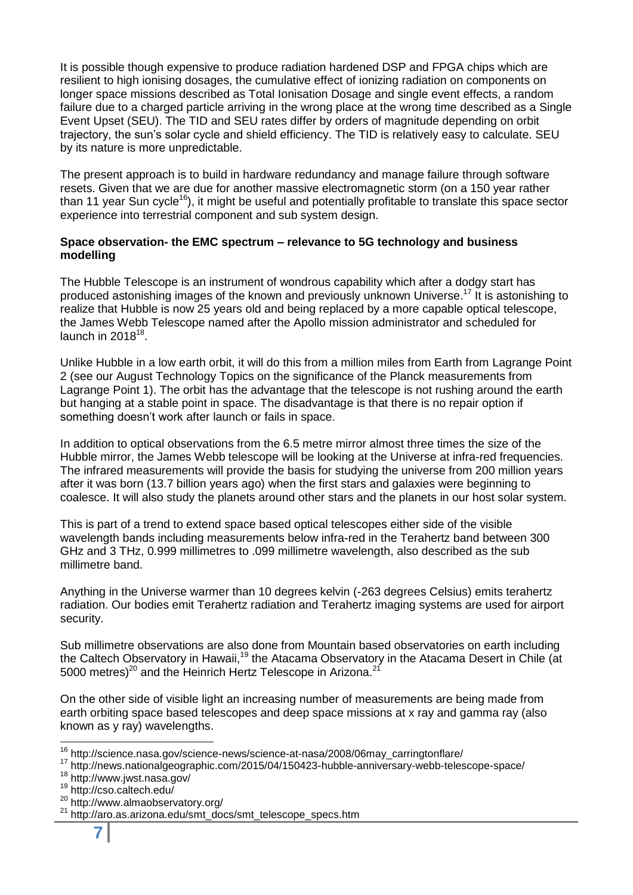It is possible though expensive to produce radiation hardened DSP and FPGA chips which are resilient to high ionising dosages, the cumulative effect of ionizing radiation on components on longer space missions described as Total Ionisation Dosage and single event effects, a random failure due to a charged particle arriving in the wrong place at the wrong time described as a Single Event Upset (SEU). The TID and SEU rates differ by orders of magnitude depending on orbit trajectory, the sun's solar cycle and shield efficiency. The TID is relatively easy to calculate. SEU by its nature is more unpredictable.

The present approach is to build in hardware redundancy and manage failure through software resets. Given that we are due for another massive electromagnetic storm (on a 150 year rather than 11 year Sun cycle<sup>16</sup>), it might be useful and potentially profitable to translate this space sector experience into terrestrial component and sub system design.

## **Space observation- the EMC spectrum – relevance to 5G technology and business modelling**

The Hubble Telescope is an instrument of wondrous capability which after a dodgy start has produced astonishing images of the known and previously unknown Universe.<sup>17</sup> It is astonishing to realize that Hubble is now 25 years old and being replaced by a more capable optical telescope, the James Webb Telescope named after the Apollo mission administrator and scheduled for launch in 2018 $^{18}$ .

Unlike Hubble in a low earth orbit, it will do this from a million miles from Earth from Lagrange Point 2 (see our August Technology Topics on the significance of the Planck measurements from Lagrange Point 1). The orbit has the advantage that the telescope is not rushing around the earth but hanging at a stable point in space. The disadvantage is that there is no repair option if something doesn't work after launch or fails in space.

In addition to optical observations from the 6.5 metre mirror almost three times the size of the Hubble mirror, the James Webb telescope will be looking at the Universe at infra-red frequencies. The infrared measurements will provide the basis for studying the universe from 200 million years after it was born (13.7 billion years ago) when the first stars and galaxies were beginning to coalesce. It will also study the planets around other stars and the planets in our host solar system.

This is part of a trend to extend space based optical telescopes either side of the visible wavelength bands including measurements below infra-red in the Terahertz band between 300 GHz and 3 THz, 0.999 millimetres to .099 millimetre wavelength, also described as the sub millimetre band.

Anything in the Universe warmer than 10 degrees kelvin (-263 degrees Celsius) emits terahertz radiation. Our bodies emit Terahertz radiation and Terahertz imaging systems are used for airport security.

Sub millimetre observations are also done from Mountain based observatories on earth including the Caltech Observatory in Hawaii,<sup>19</sup> the Atacama Observatory in the Atacama Desert in Chile (at 5000 metres)<sup>20</sup> and the Heinrich Hertz Telescope in Arizona.<sup>21</sup>

On the other side of visible light an increasing number of measurements are being made from earth orbiting space based telescopes and deep space missions at x ray and gamma ray (also known as y ray) wavelengths.

 <sup>16</sup> http://science.nasa.gov/science-news/science-at-nasa/2008/06may\_carringtonflare/

<sup>17</sup> http://news.nationalgeographic.com/2015/04/150423-hubble-anniversary-webb-telescope-space/

<sup>18</sup> http://www.jwst.nasa.gov/

<sup>19</sup> http://cso.caltech.edu/

<sup>20</sup> http://www.almaobservatory.org/

<sup>21</sup> http://aro.as.arizona.edu/smt\_docs/smt\_telescope\_specs.htm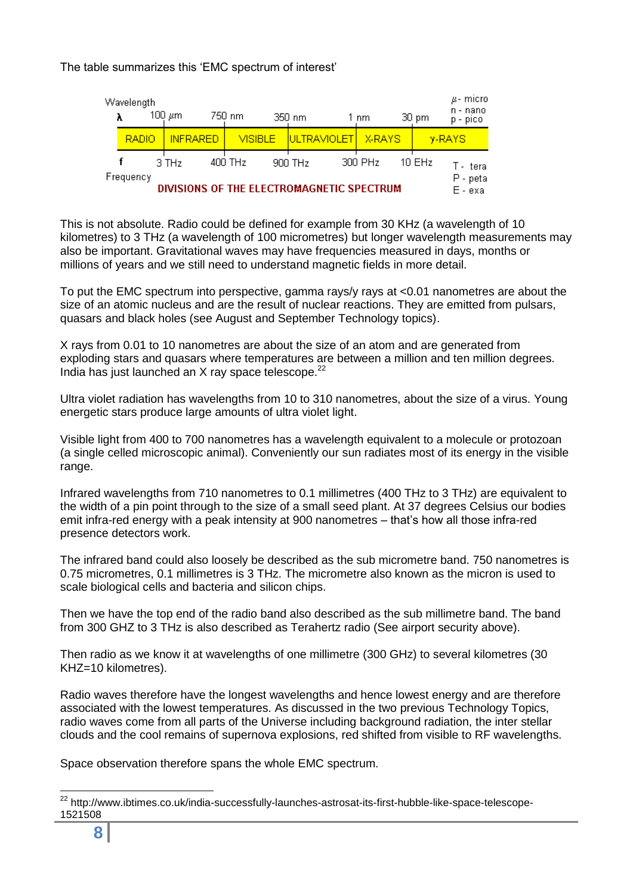## The table summarizes this 'EMC spectrum of interest'

|                                                        | Wavelength<br>λ |  | 100 μm          |  | 750 nm         |  | 350 nm      |  | 1 nm    | 30 pm               | $\mu$ - micro<br>n - nano<br>p - pico |
|--------------------------------------------------------|-----------------|--|-----------------|--|----------------|--|-------------|--|---------|---------------------|---------------------------------------|
|                                                        | <b>RADIO</b>    |  | <b>INFRARED</b> |  | <b>VISIBLE</b> |  | ULTRAVIOLET |  | X-RAYS  |                     | $y-RAYS$                              |
|                                                        |                 |  | $3$ THz         |  | 400 THz        |  | 900 THz     |  | 300 PHz | 10EHz               | T - teral                             |
| Frequency<br>DIVISIONS OF THE ELECTROMAGNETIC SPECTRUM |                 |  |                 |  |                |  |             |  |         | P - peta<br>E - exa |                                       |

This is not absolute. Radio could be defined for example from 30 KHz (a wavelength of 10 kilometres) to 3 THz (a wavelength of 100 micrometres) but longer wavelength measurements may also be important. Gravitational waves may have frequencies measured in days, months or millions of years and we still need to understand magnetic fields in more detail.

To put the EMC spectrum into perspective, gamma rays/y rays at <0.01 nanometres are about the size of an atomic nucleus and are the result of nuclear reactions. They are emitted from pulsars, quasars and black holes (see August and September Technology topics).

X rays from 0.01 to 10 nanometres are about the size of an atom and are generated from exploding stars and quasars where temperatures are between a million and ten million degrees. India has just launched an  $X$  ray space telescope.<sup>22</sup>

Ultra violet radiation has wavelengths from 10 to 310 nanometres, about the size of a virus. Young energetic stars produce large amounts of ultra violet light.

Visible light from 400 to 700 nanometres has a wavelength equivalent to a molecule or protozoan (a single celled microscopic animal). Conveniently our sun radiates most of its energy in the visible range.

Infrared wavelengths from 710 nanometres to 0.1 millimetres (400 THz to 3 THz) are equivalent to the width of a pin point through to the size of a small seed plant. At 37 degrees Celsius our bodies emit infra-red energy with a peak intensity at 900 nanometres – that's how all those infra-red presence detectors work.

The infrared band could also loosely be described as the sub micrometre band. 750 nanometres is 0.75 micrometres, 0.1 millimetres is 3 THz. The micrometre also known as the micron is used to scale biological cells and bacteria and silicon chips.

Then we have the top end of the radio band also described as the sub millimetre band. The band from 300 GHZ to 3 THz is also described as Terahertz radio (See airport security above).

Then radio as we know it at wavelengths of one millimetre (300 GHz) to several kilometres (30 KHZ=10 kilometres).

Radio waves therefore have the longest wavelengths and hence lowest energy and are therefore associated with the lowest temperatures. As discussed in the two previous Technology Topics, radio waves come from all parts of the Universe including background radiation, the inter stellar clouds and the cool remains of supernova explosions, red shifted from visible to RF wavelengths.

Space observation therefore spans the whole EMC spectrum.

 $\overline{a}$ 

<sup>&</sup>lt;sup>22</sup> http://www.ibtimes.co.uk/india-successfully-launches-astrosat-its-first-hubble-like-space-telescope-1521508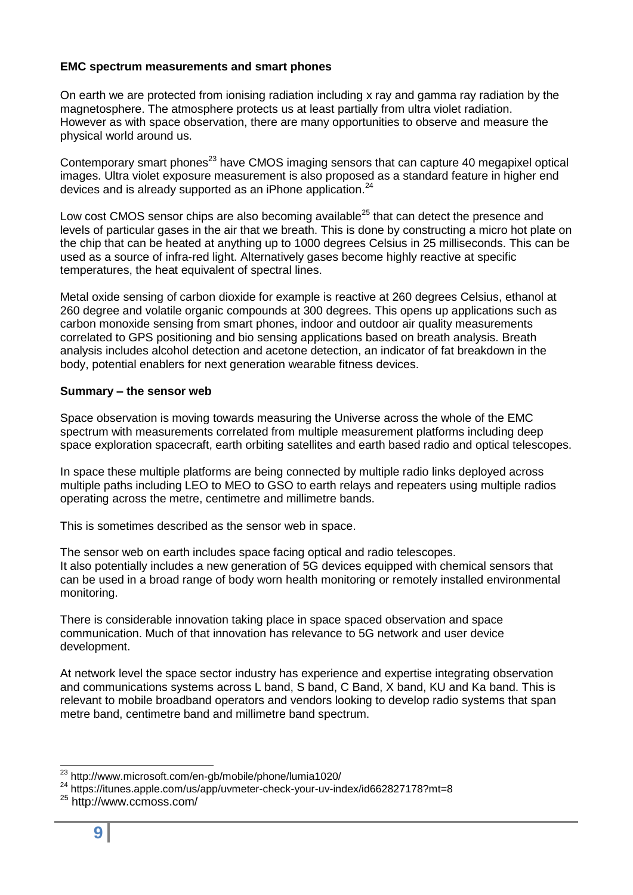## **EMC spectrum measurements and smart phones**

On earth we are protected from ionising radiation including x ray and gamma ray radiation by the magnetosphere. The atmosphere protects us at least partially from ultra violet radiation. However as with space observation, there are many opportunities to observe and measure the physical world around us.

Contemporary smart phones<sup>23</sup> have CMOS imaging sensors that can capture 40 megapixel optical images. Ultra violet exposure measurement is also proposed as a standard feature in higher end devices and is already supported as an iPhone application.<sup>24</sup>

Low cost CMOS sensor chips are also becoming available<sup>25</sup> that can detect the presence and levels of particular gases in the air that we breath. This is done by constructing a micro hot plate on the chip that can be heated at anything up to 1000 degrees Celsius in 25 milliseconds. This can be used as a source of infra-red light. Alternatively gases become highly reactive at specific temperatures, the heat equivalent of spectral lines.

Metal oxide sensing of carbon dioxide for example is reactive at 260 degrees Celsius, ethanol at 260 degree and volatile organic compounds at 300 degrees. This opens up applications such as carbon monoxide sensing from smart phones, indoor and outdoor air quality measurements correlated to GPS positioning and bio sensing applications based on breath analysis. Breath analysis includes alcohol detection and acetone detection, an indicator of fat breakdown in the body, potential enablers for next generation wearable fitness devices.

#### **Summary – the sensor web**

Space observation is moving towards measuring the Universe across the whole of the EMC spectrum with measurements correlated from multiple measurement platforms including deep space exploration spacecraft, earth orbiting satellites and earth based radio and optical telescopes.

In space these multiple platforms are being connected by multiple radio links deployed across multiple paths including LEO to MEO to GSO to earth relays and repeaters using multiple radios operating across the metre, centimetre and millimetre bands.

This is sometimes described as the sensor web in space.

The sensor web on earth includes space facing optical and radio telescopes. It also potentially includes a new generation of 5G devices equipped with chemical sensors that can be used in a broad range of body worn health monitoring or remotely installed environmental monitoring.

There is considerable innovation taking place in space spaced observation and space communication. Much of that innovation has relevance to 5G network and user device development.

At network level the space sector industry has experience and expertise integrating observation and communications systems across L band, S band, C Band, X band, KU and Ka band. This is relevant to mobile broadband operators and vendors looking to develop radio systems that span metre band, centimetre band and millimetre band spectrum.

 <sup>23</sup> http://www.microsoft.com/en-gb/mobile/phone/lumia1020/

<sup>&</sup>lt;sup>24</sup> https://itunes.apple.com/us/app/uvmeter-check-your-uv-index/id662827178?mt=8

<sup>25</sup> http://www.ccmoss.com/